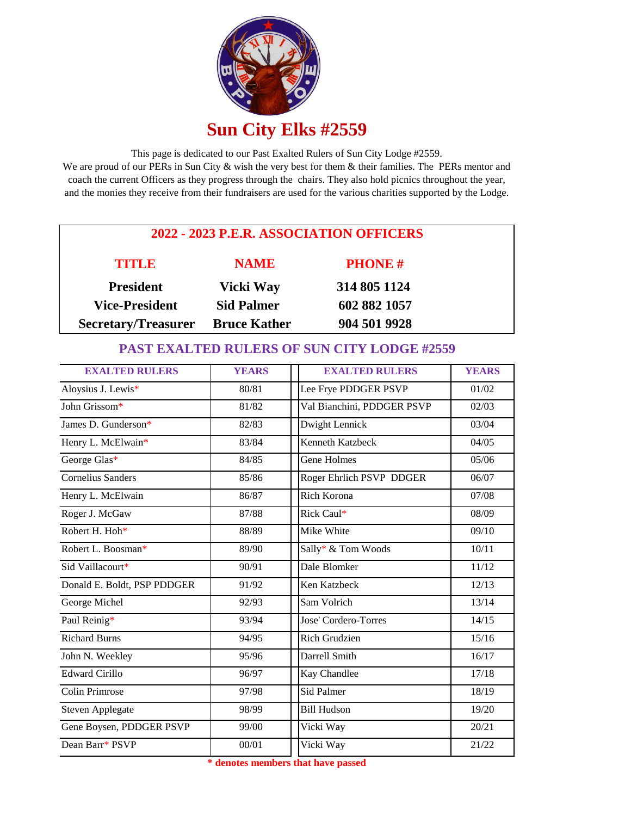

This page is dedicated to our Past Exalted Rulers of Sun City Lodge #2559. We are proud of our PERs in Sun City & wish the very best for them & their families. The PERs mentor and coach the current Officers as they progress through the chairs. They also hold picnics throughout the year, and the monies they receive from their fundraisers are used for the various charities supported by the Lodge.

| 2022 - 2023 P.E.R. ASSOCIATION OFFICERS |                     |               |  |  |
|-----------------------------------------|---------------------|---------------|--|--|
| TITLE                                   | <b>NAME</b>         | <b>PHONE#</b> |  |  |
| <b>President</b>                        | Vicki Way           | 314 805 1124  |  |  |
| <b>Vice-President</b>                   | <b>Sid Palmer</b>   | 602 882 1057  |  |  |
| <b>Secretary/Treasurer</b>              | <b>Bruce Kather</b> | 904 501 9928  |  |  |

## **PAST EXALTED RULERS OF SUN CITY LODGE #2559**

| <b>EXALTED RULERS</b>       | <b>YEARS</b> | <b>EXALTED RULERS</b>      | <b>YEARS</b> |
|-----------------------------|--------------|----------------------------|--------------|
| Aloysius J. Lewis*          | 80/81        | Lee Frye PDDGER PSVP       | 01/02        |
| John Grissom*               | 81/82        | Val Bianchini, PDDGER PSVP | 02/03        |
| James D. Gunderson*         | 82/83        | Dwight Lennick             | 03/04        |
| Henry L. McElwain*          | 83/84        | Kenneth Katzbeck           | 04/05        |
| George Glas*                | 84/85        | Gene Holmes                | 05/06        |
| <b>Cornelius Sanders</b>    | 85/86        | Roger Ehrlich PSVP DDGER   | 06/07        |
| Henry L. McElwain           | 86/87        | <b>Rich Korona</b>         | 07/08        |
| Roger J. McGaw              | 87/88        | Rick Caul*                 | 08/09        |
| Robert H. Hoh*              | 88/89        | Mike White                 | 09/10        |
| Robert L. Boosman*          | 89/90        | Sally* & Tom Woods         | 10/11        |
| Sid Vaillacourt*            | 90/91        | Dale Blomker               | 11/12        |
| Donald E. Boldt, PSP PDDGER | 91/92        | Ken Katzbeck               | 12/13        |
| George Michel               | 92/93        | Sam Volrich                | 13/14        |
| Paul Reinig*                | 93/94        | Jose' Cordero-Torres       | 14/15        |
| <b>Richard Burns</b>        | 94/95        | Rich Grudzien              | 15/16        |
| John N. Weekley             | 95/96        | Darrell Smith              | 16/17        |
| <b>Edward Cirillo</b>       | 96/97        | Kay Chandlee               | 17/18        |
| Colin Primrose              | 97/98        | <b>Sid Palmer</b>          | 18/19        |
| Steven Applegate            | 98/99        | <b>Bill Hudson</b>         | 19/20        |
| Gene Boysen, PDDGER PSVP    | 99/00        | Vicki Way                  | 20/21        |
| Dean Barr* PSVP             | 00/01        | Vicki Way                  | 21/22        |

**\* denotes members that have passed**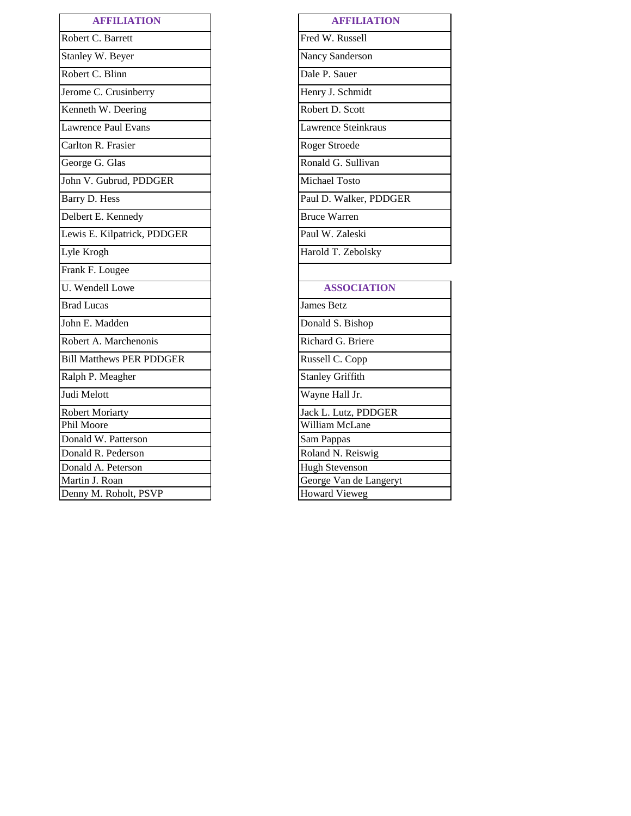| <b>AFFILIATION</b>              | <b>AFFILIATION</b>      |
|---------------------------------|-------------------------|
| Robert C. Barrett               | Fred W. Russell         |
| Stanley W. Beyer                | Nancy Sanderson         |
| Robert C. Blinn                 | Dale P. Sauer           |
| Jerome C. Crusinberry           | Henry J. Schmidt        |
| Kenneth W. Deering              | Robert D. Scott         |
| <b>Lawrence Paul Evans</b>      | Lawrence Steinkraus     |
| Carlton R. Frasier              | Roger Stroede           |
| George G. Glas                  | Ronald G. Sullivan      |
| John V. Gubrud, PDDGER          | Michael Tosto           |
| Barry D. Hess                   | Paul D. Walker, PDDGER  |
| Delbert E. Kennedy              | <b>Bruce Warren</b>     |
| Lewis E. Kilpatrick, PDDGER     | Paul W. Zaleski         |
| Lyle Krogh                      | Harold T. Zebolsky      |
| Frank F. Lougee                 |                         |
| U. Wendell Lowe                 | <b>ASSOCIATION</b>      |
| <b>Brad Lucas</b>               | <b>James Betz</b>       |
| John E. Madden                  | Donald S. Bishop        |
| Robert A. Marchenonis           | Richard G. Briere       |
| <b>Bill Matthews PER PDDGER</b> | Russell C. Copp         |
| Ralph P. Meagher                | <b>Stanley Griffith</b> |
| Judi Melott                     | Wayne Hall Jr.          |
| <b>Robert Moriarty</b>          | Jack L. Lutz, PDDGER    |
| Phil Moore                      | William McLane          |
| Donald W. Patterson             | Sam Pappas              |
| Donald R. Pederson              | Roland N. Reiswig       |
| Donald A. Peterson              | <b>Hugh Stevenson</b>   |
| Martin J. Roan                  | George Van de Langeryt  |
| Denny M. Roholt, PSVP           | <b>Howard Vieweg</b>    |

| <b>AFFILIATION</b>     |
|------------------------|
| Fred W. Russell        |
| Nancy Sanderson        |
| Dale P. Sauer          |
| Henry J. Schmidt       |
| Robert D. Scott        |
| Lawrence Steinkraus    |
| Roger Stroede          |
| Ronald G. Sullivan     |
| Michael Tosto          |
| Paul D. Walker, PDDGER |
| <b>Bruce Warren</b>    |
| Paul W. Zaleski        |
| Harold T. Zebolsky     |
|                        |
| <b>ASSOCIATION</b>     |
| Iames Retz             |

| <b>ASSOCIATION</b>     |
|------------------------|
| ames Betz              |
| Donald S. Bishop       |
| Richard G. Briere      |
| Russell C. Copp        |
| Stanley Griffith       |
| Wayne Hall Jr.         |
| ack L. Lutz, PDDGER    |
| William McLane         |
| Sam Pappas             |
| Roland N. Reiswig      |
| <b>Hugh Stevenson</b>  |
| George Van de Langeryt |
| <b>Howard Vieweg</b>   |